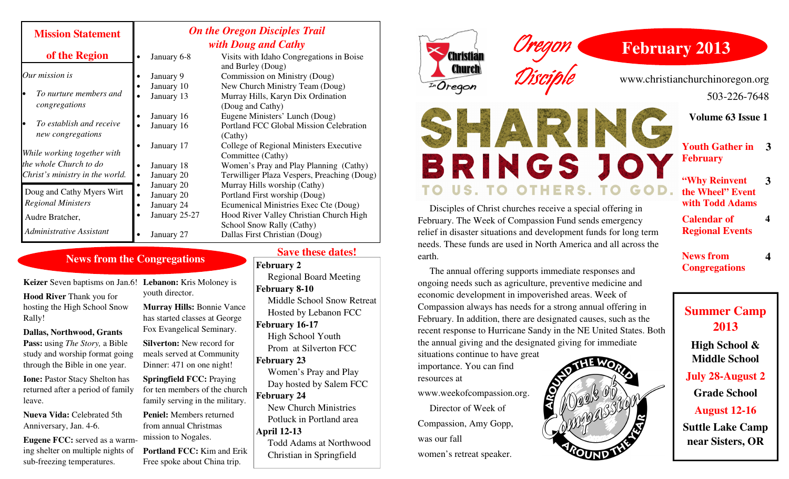| <b>Mission Statement</b>                                                                 | <b>On the Oregon Disciples Trail</b><br>with Doug and Cathy |               |                                                               |
|------------------------------------------------------------------------------------------|-------------------------------------------------------------|---------------|---------------------------------------------------------------|
| of the Region                                                                            |                                                             | January 6-8   | Visits with Idaho Congregations in Boise<br>and Burley (Doug) |
| Our mission is                                                                           |                                                             | January 9     | Commission on Ministry (Doug)                                 |
| To nurture members and<br>congregations                                                  |                                                             | January 10    | New Church Ministry Team (Doug)                               |
|                                                                                          |                                                             | January 13    | Murray Hills, Karyn Dix Ordination                            |
|                                                                                          |                                                             |               | (Doug and Cathy)                                              |
|                                                                                          |                                                             | January 16    | Eugene Ministers' Lunch (Doug)                                |
| To establish and receive<br>lo                                                           |                                                             | January 16    | Portland FCC Global Mission Celebration                       |
| new congregations                                                                        |                                                             |               | (Cathy)                                                       |
| While working together with<br>the whole Church to do<br>Christ's ministry in the world. |                                                             | January 17    | College of Regional Ministers Executive                       |
|                                                                                          |                                                             |               | Committee (Cathy)                                             |
|                                                                                          |                                                             | January 18    | Women's Pray and Play Planning (Cathy)                        |
|                                                                                          |                                                             | January 20    | Terwilliger Plaza Vespers, Preaching (Doug)                   |
| Doug and Cathy Myers Wirt<br><b>Regional Ministers</b>                                   |                                                             | January 20    | Murray Hills worship (Cathy)                                  |
|                                                                                          | $\bullet$                                                   | January 20    | Portland First worship (Doug)                                 |
|                                                                                          |                                                             | January 24    | Ecumenical Ministries Exec Cte (Doug)                         |
| Audre Bratcher,                                                                          |                                                             | January 25-27 | Hood River Valley Christian Church High                       |
| Administrative Assistant                                                                 |                                                             |               | School Snow Rally (Cathy)                                     |
|                                                                                          |                                                             | January 27    | Dallas First Christian (Doug)                                 |

### **News from the Congregations**

**Keizer** Seven baptisms on Jan.6! **Lebanon:** Kris Moloney is **Hood River** Thank you for hosting the High School Snow Rally!

**Dallas, Northwood, Grants Pass:** using *The Story,* a Bible study and worship format going through the Bible in one year.

**Ione: Pastor Stacy Shelton has** returned after a period of family leave.

**Nueva Vida:** Celebrated 5th Anniversary, Jan. 4-6.

**Eugene FCC:** served as a warming shelter on multiple nights of sub-freezing temperatures.

youth director. **Murray Hills:** Bonnie Vance has started classes at George Fox Evangelical Seminary.

**Silverton:** New record for meals served at Community Dinner: 471 on one night!

**Springfield FCC:** Praying for ten members of the church family serving in the military.

**Peniel:** Members returned from annual Christmas mission to Nogales.

**Portland FCC:** Kim and Erik Free spoke about China trip.

#### **Save these dates!**

**February 2** 

Regional Board Meeting **February 8-10**  Middle School Snow Retreat Hosted by Lebanon FCC**February 16-17** High School Youth Prom at Silverton FCC**February 23** Women's Pray and Play Day hosted by Salem FCC **February 24**  New Church Ministries Potluck in Portland area **April 12-13** Todd Adams at Northwood Christian in Springfield



importance. You can find

Compassion, Amy Gopp,

women's retreat speaker.

www.weekofcompassion.org. Director of Week of

resources at

was our fall



# **February 2013**

www.christianchurchinoregon.org 503-226-7648

**Volume 63 Issue 1** 

- SHARME **Youth Gather in 3** BRINGS JOY **February** 
	- **"Why Reinvent the Wheel" Event with Todd Adams 3**

 **4** 

**4**

**Calendar of Regional Events** 

**News from Congregations** 

**Summer Camp 2013** 

> **High School & Middle School**

**July 28-August 2** 

**Grade School** 

**August 12-16** 

**Suttle Lake Camp near Sisters, OR** 

 Disciples of Christ churches receive a special offering in February. The Week of Compassion Fund sends emergency relief in disaster situations and development funds for long term needs. These funds are used in North America and all across the earth.

 The annual offering supports immediate responses and ongoing needs such as agriculture, preventive medicine and economic development in impoverished areas. Week of Compassion always has needs for a strong annual offering in February. In addition, there are designated causes, such as the recent response to Hurricane Sandy in the NE United States. Both the annual giving and the designated giving for immediate situations continue to have great

THE WO **RIDOR**